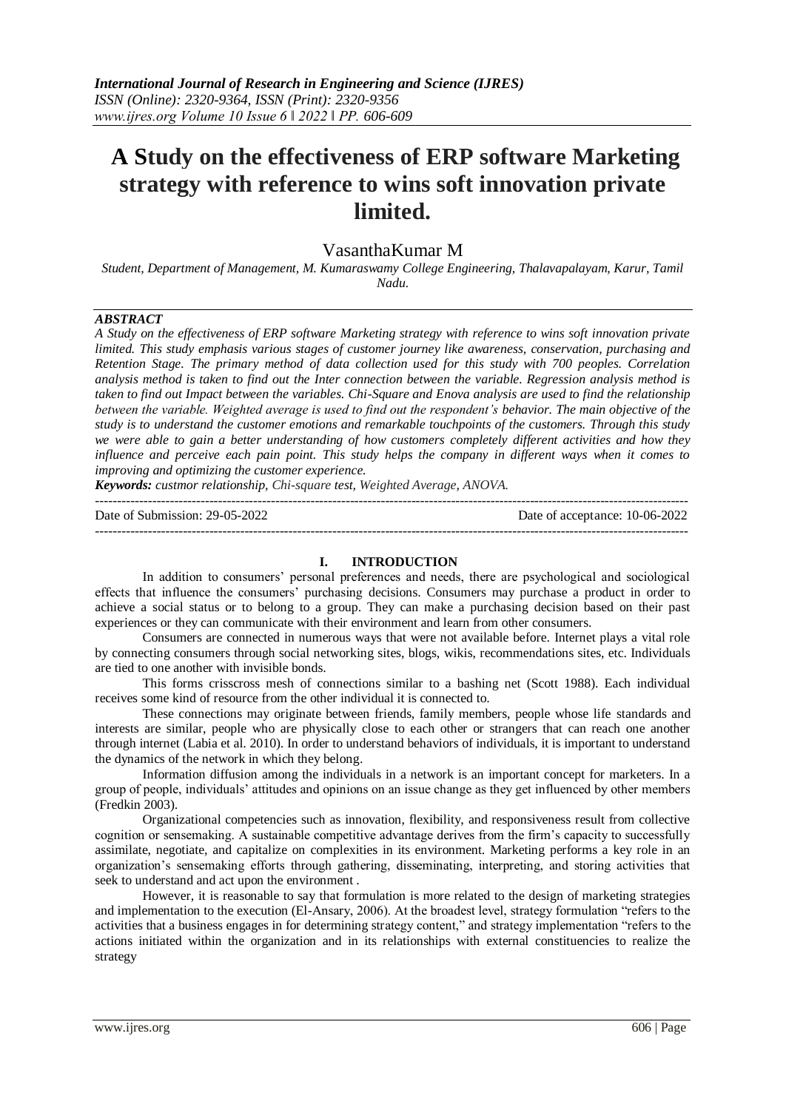# **A Study on the effectiveness of ERP software Marketing strategy with reference to wins soft innovation private limited.**

## VasanthaKumar M

*Student, Department of Management, M. Kumaraswamy College Engineering, Thalavapalayam, Karur, Tamil Nadu.*

#### *ABSTRACT*

*A Study on the effectiveness of ERP software Marketing strategy with reference to wins soft innovation private limited. This study emphasis various stages of customer journey like awareness, conservation, purchasing and Retention Stage. The primary method of data collection used for this study with 700 peoples. Correlation analysis method is taken to find out the Inter connection between the variable. Regression analysis method is taken to find out Impact between the variables. Chi-Square and Enova analysis are used to find the relationship between the variable. Weighted average is used to find out the respondent's behavior. The main objective of the study is to understand the customer emotions and remarkable touchpoints of the customers. Through this study we were able to gain a better understanding of how customers completely different activities and how they influence and perceive each pain point. This study helps the company in different ways when it comes to improving and optimizing the customer experience.*

*Keywords: custmor relationship, Chi-square test, Weighted Average, ANOVA.* ---------------------------------------------------------------------------------------------------------------------------------------

Date of Submission: 29-05-2022 Date of acceptance: 10-06-2022

---------------------------------------------------------------------------------------------------------------------------------------

#### **I. INTRODUCTION**

In addition to consumers' personal preferences and needs, there are psychological and sociological effects that influence the consumers' purchasing decisions. Consumers may purchase a product in order to achieve a social status or to belong to a group. They can make a purchasing decision based on their past experiences or they can communicate with their environment and learn from other consumers.

Consumers are connected in numerous ways that were not available before. Internet plays a vital role by connecting consumers through social networking sites, blogs, wikis, recommendations sites, etc. Individuals are tied to one another with invisible bonds.

This forms crisscross mesh of connections similar to a bashing net (Scott 1988). Each individual receives some kind of resource from the other individual it is connected to.

These connections may originate between friends, family members, people whose life standards and interests are similar, people who are physically close to each other or strangers that can reach one another through internet (Labia et al. 2010). In order to understand behaviors of individuals, it is important to understand the dynamics of the network in which they belong.

Information diffusion among the individuals in a network is an important concept for marketers. In a group of people, individuals' attitudes and opinions on an issue change as they get influenced by other members (Fredkin 2003).

Organizational competencies such as innovation, flexibility, and responsiveness result from collective cognition or sensemaking. A sustainable competitive advantage derives from the firm's capacity to successfully assimilate, negotiate, and capitalize on complexities in its environment. Marketing performs a key role in an organization's sensemaking efforts through gathering, disseminating, interpreting, and storing activities that seek to understand and act upon the environment .

However, it is reasonable to say that formulation is more related to the design of marketing strategies and implementation to the execution (El-Ansary, 2006). At the broadest level, strategy formulation "refers to the activities that a business engages in for determining strategy content," and strategy implementation "refers to the actions initiated within the organization and in its relationships with external constituencies to realize the strategy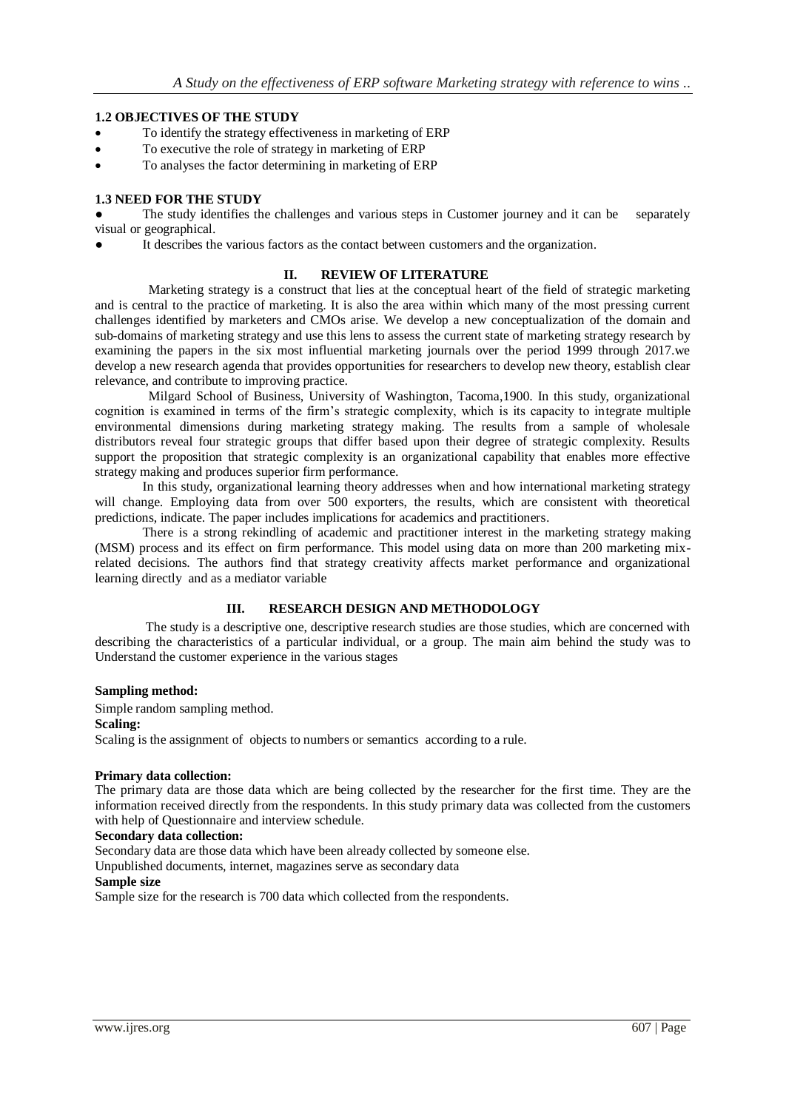## **1.2 OBJECTIVES OF THE STUDY**

- To identify the strategy effectiveness in marketing of ERP
- To executive the role of strategy in marketing of ERP
- To analyses the factor determining in marketing of ERP

## **1.3 NEED FOR THE STUDY**

The study identifies the challenges and various steps in Customer journey and it can be separately visual or geographical.

It describes the various factors as the contact between customers and the organization.

#### **II. REVIEW OF LITERATURE**

Marketing strategy is a construct that lies at the conceptual heart of the field of strategic marketing and is central to the practice of marketing. It is also the area within which many of the most pressing current challenges identified by marketers and CMOs arise. We develop a new conceptualization of the domain and sub-domains of marketing strategy and use this lens to assess the current state of marketing strategy research by examining the papers in the six most influential marketing journals over the period 1999 through 2017.we develop a new research agenda that provides opportunities for researchers to develop new theory, establish clear relevance, and contribute to improving practice.

Milgard School of Business, University of Washington, Tacoma,1900. In this study, organizational cognition is examined in terms of the firm's strategic complexity, which is its capacity to integrate multiple environmental dimensions during marketing strategy making. The results from a sample of wholesale distributors reveal four strategic groups that differ based upon their degree of strategic complexity. Results support the proposition that strategic complexity is an organizational capability that enables more effective strategy making and produces superior firm performance.

In this study, organizational learning theory addresses when and how international marketing strategy will change. Employing data from over 500 exporters, the results, which are consistent with theoretical predictions, indicate. The paper includes implications for academics and practitioners.

There is a strong rekindling of academic and practitioner interest in the marketing strategy making (MSM) process and its effect on firm performance. This model using data on more than 200 marketing mixrelated decisions. The authors find that strategy creativity affects market performance and organizational learning directly and as a mediator variable

#### **III. RESEARCH DESIGN AND METHODOLOGY**

 The study is a descriptive one, descriptive research studies are those studies, which are concerned with describing the characteristics of a particular individual, or a group. The main aim behind the study was to Understand the customer experience in the various stages

#### **Sampling method:**

Simple random sampling method.

#### **Scaling:**

Scaling is the assignment of objects to numbers or semantics according to a rule.

#### **Primary data collection:**

The primary data are those data which are being collected by the researcher for the first time. They are the information received directly from the respondents. In this study primary data was collected from the customers with help of Questionnaire and interview schedule.

#### **Secondary data collection:**

Secondary data are those data which have been already collected by someone else.

Unpublished documents, internet, magazines serve as secondary data

#### **Sample size**

Sample size for the research is 700 data which collected from the respondents.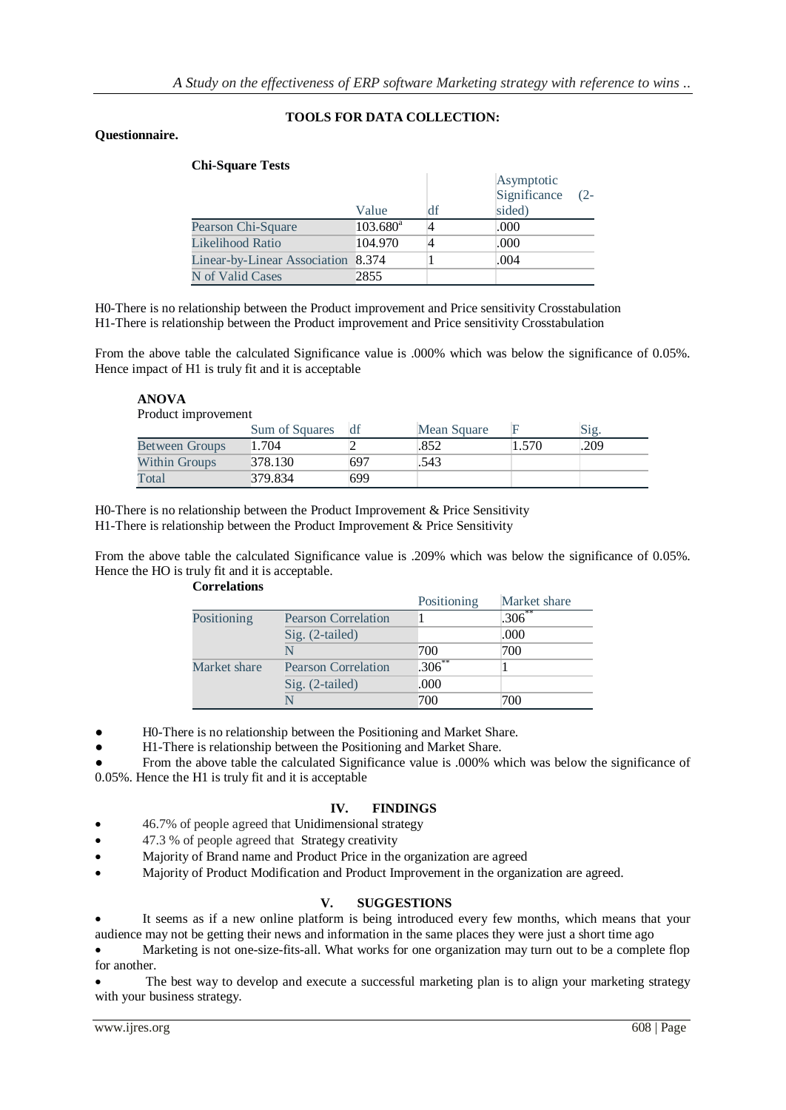## **TOOLS FOR DATA COLLECTION:**

## **Questionnaire.**

| <b>Chi-Square Tests</b>            |                   |    |                                                |  |  |
|------------------------------------|-------------------|----|------------------------------------------------|--|--|
|                                    | Value             | df | Asymptotic<br>Significance<br>$(2 -$<br>sided) |  |  |
| Pearson Chi-Square                 | $103.680^{\rm a}$ |    | .000                                           |  |  |
| Likelihood Ratio                   | 104.970           |    | .000                                           |  |  |
| Linear-by-Linear Association 8.374 |                   |    | .004                                           |  |  |
| N of Valid Cases                   | 2855              |    |                                                |  |  |

H0-There is no relationship between the Product improvement and Price sensitivity Crosstabulation H1-There is relationship between the Product improvement and Price sensitivity Crosstabulation

From the above table the calculated Significance value is .000% which was below the significance of 0.05%. Hence impact of H1 is truly fit and it is acceptable

## **ANOVA**

Product improvement

|                       | Sum of Squares |     | Mean Square |       | Sig. |
|-----------------------|----------------|-----|-------------|-------|------|
| <b>Between Groups</b> | 1.704          |     | .852        | 1.570 | .209 |
| <b>Within Groups</b>  | 378.130        | 697 | .543        |       |      |
| Total                 | 379.834        | 699 |             |       |      |

H0-There is no relationship between the Product Improvement & Price Sensitivity H1-There is relationship between the Product Improvement & Price Sensitivity

From the above table the calculated Significance value is .209% which was below the significance of 0.05%. Hence the HO is truly fit and it is acceptable.

| Correlations |  |
|--------------|--|
|              |  |

|              |                            | Positioning | Market share |
|--------------|----------------------------|-------------|--------------|
| Positioning  | <b>Pearson Correlation</b> |             | $.306***$    |
|              | Sig. (2-tailed)            |             | .000         |
|              |                            | 700         | 700          |
| Market share | <b>Pearson Correlation</b> | $.306***$   |              |
|              | $Sig. (2-tailed)$          | .000        |              |
|              |                            | 700         | 700          |

H0-There is no relationship between the Positioning and Market Share.

H1-There is relationship between the Positioning and Market Share.

From the above table the calculated Significance value is .000% which was below the significance of 0.05%. Hence the H1 is truly fit and it is acceptable

## **IV. FINDINGS**

- 46.7% of people agreed that Unidimensional strategy
- 47.3 % of people agreed that Strategy creativity
- Majority of Brand name and Product Price in the organization are agreed
- Majority of Product Modification and Product Improvement in the organization are agreed.

## **V. SUGGESTIONS**

 It seems as if a new online platform is being introduced every few months, which means that your audience may not be getting their news and information in the same places they were just a short time ago

 Marketing is not one-size-fits-all. What works for one organization may turn out to be a complete flop for another.

 The best way to develop and execute a successful marketing plan is to align your marketing strategy with your business strategy.